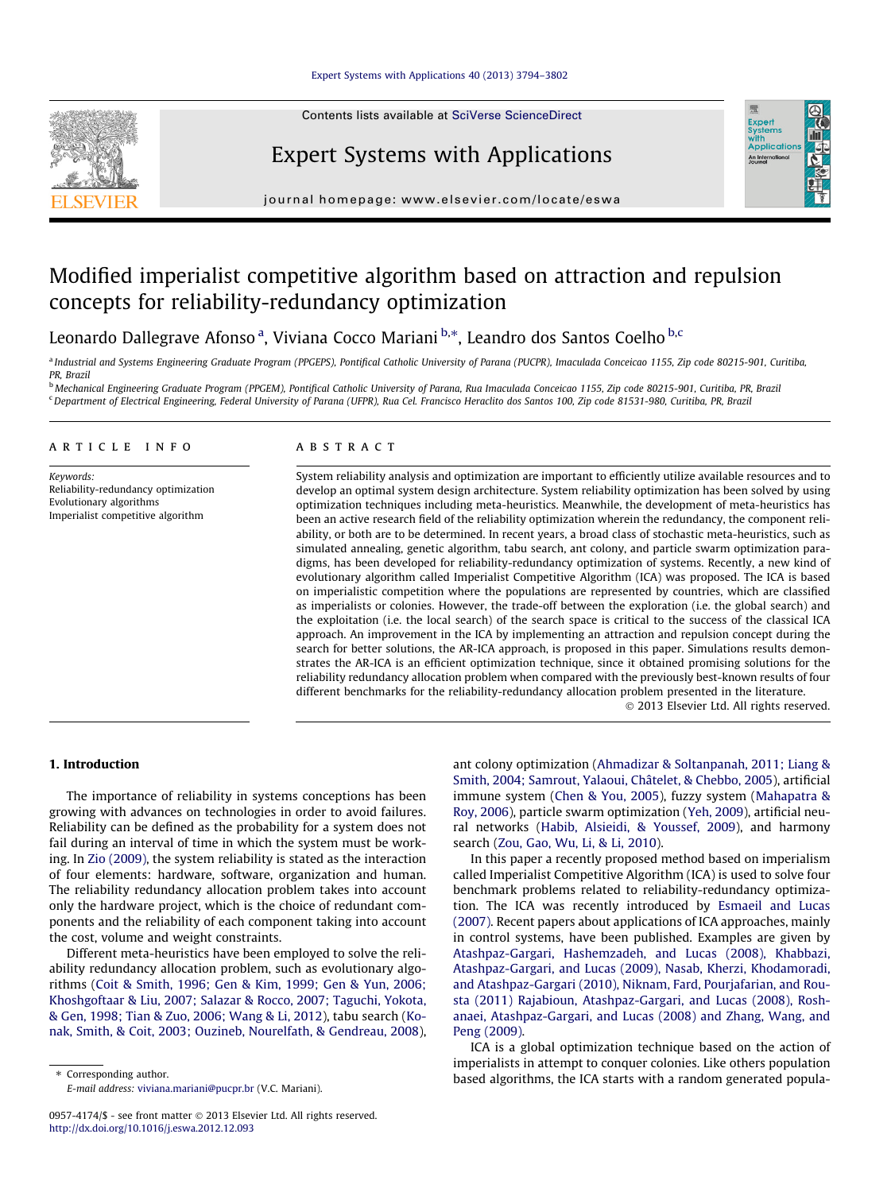Contents lists available at [SciVerse ScienceDirect](http://www.sciencedirect.com/science/journal/09574174)



Expert Systems with Applications



journal homepage: [www.elsevier.com/locate/eswa](http://www.elsevier.com/locate/eswa)

## Modified imperialist competitive algorithm based on attraction and repulsion concepts for reliability-redundancy optimization

Leonardo Dallegrave Afonso ª, Viviana Cocco Mariani <sup>b,</sup>\*, Leandro dos Santos Coelho <sup>b,c</sup>

<sup>a</sup> Industrial and Systems Engineering Graduate Program (PPGEPS), Pontifical Catholic University of Parana (PUCPR), Imaculada Conceicao 1155, Zip code 80215-901, Curitiba, PR, Brazil

<sup>b</sup> Mechanical Engineering Graduate Program (PPGEM), Pontifical Catholic University of Parana, Rua Imaculada Conceicao 1155, Zip code 80215-901, Curitiba, PR, Brazil <sup>c</sup>Department of Electrical Engineering, Federal University of Parana (UFPR), Rua Cel. Francisco Heraclito dos Santos 100, Zip code 81531-980, Curitiba, PR, Brazil

## article info

Keywords: Reliability-redundancy optimization Evolutionary algorithms Imperialist competitive algorithm

## **ABSTRACT**

System reliability analysis and optimization are important to efficiently utilize available resources and to develop an optimal system design architecture. System reliability optimization has been solved by using optimization techniques including meta-heuristics. Meanwhile, the development of meta-heuristics has been an active research field of the reliability optimization wherein the redundancy, the component reliability, or both are to be determined. In recent years, a broad class of stochastic meta-heuristics, such as simulated annealing, genetic algorithm, tabu search, ant colony, and particle swarm optimization paradigms, has been developed for reliability-redundancy optimization of systems. Recently, a new kind of evolutionary algorithm called Imperialist Competitive Algorithm (ICA) was proposed. The ICA is based on imperialistic competition where the populations are represented by countries, which are classified as imperialists or colonies. However, the trade-off between the exploration (i.e. the global search) and the exploitation (i.e. the local search) of the search space is critical to the success of the classical ICA approach. An improvement in the ICA by implementing an attraction and repulsion concept during the search for better solutions, the AR-ICA approach, is proposed in this paper. Simulations results demonstrates the AR-ICA is an efficient optimization technique, since it obtained promising solutions for the reliability redundancy allocation problem when compared with the previously best-known results of four different benchmarks for the reliability-redundancy allocation problem presented in the literature.

- 2013 Elsevier Ltd. All rights reserved.

## 1. Introduction

The importance of reliability in systems conceptions has been growing with advances on technologies in order to avoid failures. Reliability can be defined as the probability for a system does not fail during an interval of time in which the system must be working. In [Zio \(2009\)](#page--1-0), the system reliability is stated as the interaction of four elements: hardware, software, organization and human. The reliability redundancy allocation problem takes into account only the hardware project, which is the choice of redundant components and the reliability of each component taking into account the cost, volume and weight constraints.

Different meta-heuristics have been employed to solve the reliability redundancy allocation problem, such as evolutionary algorithms ([Coit & Smith, 1996; Gen & Kim, 1999; Gen & Yun, 2006;](#page--1-0) [Khoshgoftaar & Liu, 2007; Salazar & Rocco, 2007; Taguchi, Yokota,](#page--1-0) [& Gen, 1998; Tian & Zuo, 2006; Wang & Li, 2012\)](#page--1-0), tabu search ([Ko](#page--1-0)[nak, Smith, & Coit, 2003; Ouzineb, Nourelfath, & Gendreau, 2008\)](#page--1-0),

\* Corresponding author. E-mail address: [viviana.mariani@pucpr.br](mailto:viviana.mariani@pucpr.br) (V.C. Mariani). ant colony optimization ([Ahmadizar & Soltanpanah, 2011; Liang &](#page--1-0) [Smith, 2004; Samrout, Yalaoui, Châtelet, & Chebbo, 2005](#page--1-0)), artificial immune system [\(Chen & You, 2005\)](#page--1-0), fuzzy system [\(Mahapatra &](#page--1-0) [Roy, 2006\)](#page--1-0), particle swarm optimization ([Yeh, 2009\)](#page--1-0), artificial neural networks [\(Habib, Alsieidi, & Youssef, 2009\)](#page--1-0), and harmony search ([Zou, Gao, Wu, Li, & Li, 2010\)](#page--1-0).

In this paper a recently proposed method based on imperialism called Imperialist Competitive Algorithm (ICA) is used to solve four benchmark problems related to reliability-redundancy optimization. The ICA was recently introduced by [Esmaeil and Lucas](#page--1-0) [\(2007\).](#page--1-0) Recent papers about applications of ICA approaches, mainly in control systems, have been published. Examples are given by [Atashpaz-Gargari, Hashemzadeh, and Lucas \(2008\), Khabbazi,](#page--1-0) [Atashpaz-Gargari, and Lucas \(2009\), Nasab, Kherzi, Khodamoradi,](#page--1-0) [and Atashpaz-Gargari \(2010\), Niknam, Fard, Pourjafarian, and Rou](#page--1-0)[sta \(2011\) Rajabioun, Atashpaz-Gargari, and Lucas \(2008\), Rosh](#page--1-0)[anaei, Atashpaz-Gargari, and Lucas \(2008\) and Zhang, Wang, and](#page--1-0) [Peng \(2009\)](#page--1-0).

ICA is a global optimization technique based on the action of imperialists in attempt to conquer colonies. Like others population based algorithms, the ICA starts with a random generated popula-

<sup>0957-4174/\$ -</sup> see front matter © 2013 Elsevier Ltd. All rights reserved. <http://dx.doi.org/10.1016/j.eswa.2012.12.093>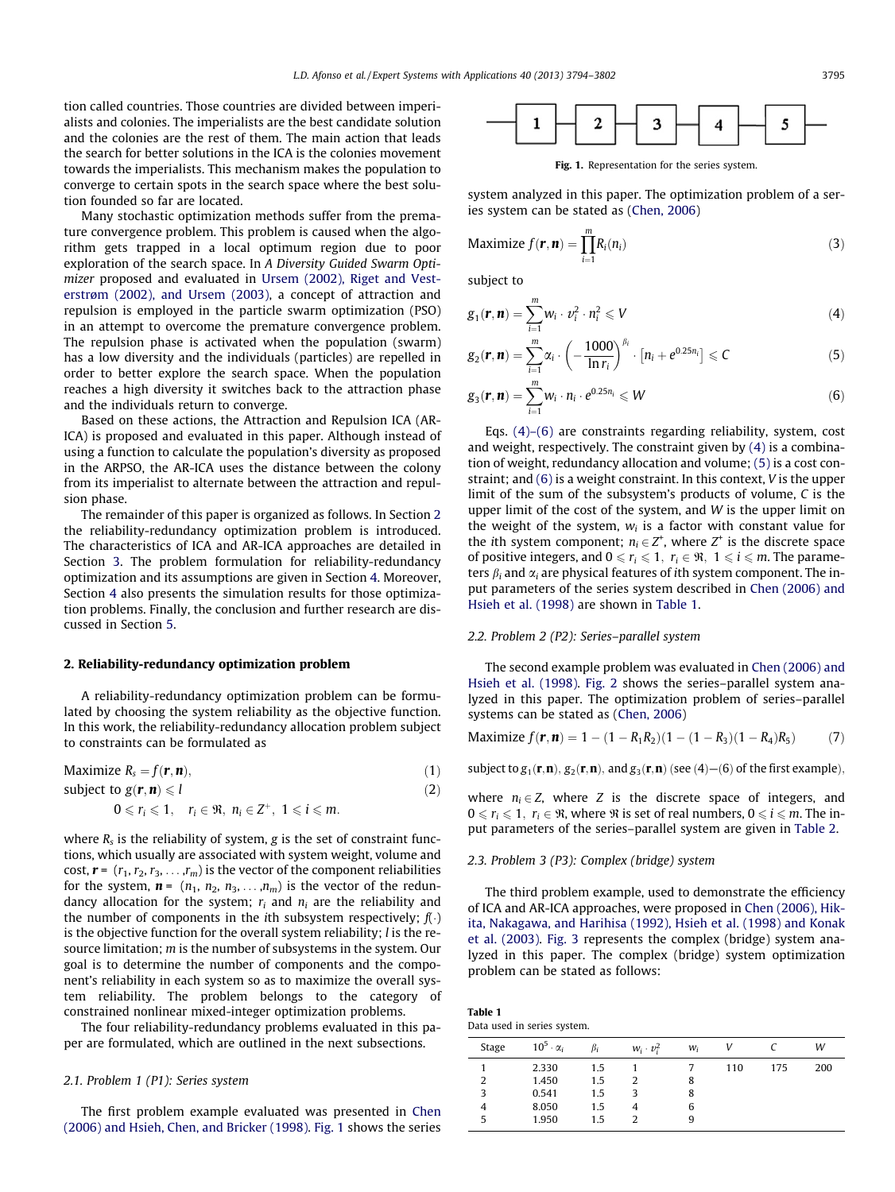tion called countries. Those countries are divided between imperialists and colonies. The imperialists are the best candidate solution and the colonies are the rest of them. The main action that leads the search for better solutions in the ICA is the colonies movement towards the imperialists. This mechanism makes the population to converge to certain spots in the search space where the best solution founded so far are located.

Many stochastic optimization methods suffer from the premature convergence problem. This problem is caused when the algorithm gets trapped in a local optimum region due to poor exploration of the search space. In A Diversity Guided Swarm Optimizer proposed and evaluated in [Ursem \(2002\), Riget and Vest](#page--1-0)[erstrøm \(2002\), and Ursem \(2003\)](#page--1-0), a concept of attraction and repulsion is employed in the particle swarm optimization (PSO) in an attempt to overcome the premature convergence problem. The repulsion phase is activated when the population (swarm) has a low diversity and the individuals (particles) are repelled in order to better explore the search space. When the population reaches a high diversity it switches back to the attraction phase and the individuals return to converge.

Based on these actions, the Attraction and Repulsion ICA (AR-ICA) is proposed and evaluated in this paper. Although instead of using a function to calculate the population's diversity as proposed in the ARPSO, the AR-ICA uses the distance between the colony from its imperialist to alternate between the attraction and repulsion phase.

The remainder of this paper is organized as follows. In Section 2 the reliability-redundancy optimization problem is introduced. The characteristics of ICA and AR-ICA approaches are detailed in Section [3.](#page--1-0) The problem formulation for reliability-redundancy optimization and its assumptions are given in Section [4](#page--1-0). Moreover, Section [4](#page--1-0) also presents the simulation results for those optimization problems. Finally, the conclusion and further research are discussed in Section [5](#page--1-0).

#### 2. Reliability-redundancy optimization problem

A reliability-redundancy optimization problem can be formulated by choosing the system reliability as the objective function. In this work, the reliability-redundancy allocation problem subject to constraints can be formulated as

$$
\text{Maximize } R_{\rm s} = f(\mathbf{r}, \mathbf{n}), \tag{1}
$$

subject to 
$$
g(\mathbf{r}, \mathbf{n}) \le l
$$
  
\n $0 \le r_i \le 1, \quad r_i \in \mathfrak{R}, \quad n_i \in \mathbb{Z}^+, \quad 1 \le i \le m.$  (2)

where  $R_s$  is the reliability of system, g is the set of constraint functions, which usually are associated with system weight, volume and cost,  $\mathbf{r} = (r_1, r_2, r_3, \dots, r_m)$  is the vector of the component reliabilities for the system,  $\mathbf{n} = (n_1, n_2, n_3, \dots, n_m)$  is the vector of the redundancy allocation for the system;  $r_i$  and  $n_i$  are the reliability and the number of components in the ith subsystem respectively;  $f(\cdot)$ is the objective function for the overall system reliability; l is the resource limitation; m is the number of subsystems in the system. Our goal is to determine the number of components and the component's reliability in each system so as to maximize the overall system reliability. The problem belongs to the category of constrained nonlinear mixed-integer optimization problems.

The four reliability-redundancy problems evaluated in this paper are formulated, which are outlined in the next subsections.

## 2.1. Problem 1 (P1): Series system

The first problem example evaluated was presented in [Chen](#page--1-0) [\(2006\) and Hsieh, Chen, and Bricker \(1998\)](#page--1-0). Fig. 1 shows the series



Fig. 1. Representation for the series system.

system analyzed in this paper. The optimization problem of a series system can be stated as ([Chen, 2006](#page--1-0))

$$
\text{Maximize } f(\mathbf{r}, \mathbf{n}) = \prod_{i=1}^{m} R_i(n_i) \tag{3}
$$

subject to

$$
g_1(\mathbf{r}, \mathbf{n}) = \sum_{i=1}^{m} w_i \cdot v_i^2 \cdot n_i^2 \leqslant V \tag{4}
$$

$$
g_2(\mathbf{r}, \mathbf{n}) = \sum_{i=1}^{m} \alpha_i \cdot \left( -\frac{1000}{\ln r_i} \right)^{\beta_i} \cdot \left[ n_i + e^{0.25n_i} \right] \leq C \tag{5}
$$

$$
g_3(\mathbf{r}, \mathbf{n}) = \sum_{i=1}^m w_i \cdot n_i \cdot e^{0.25n_i} \leqslant W \tag{6}
$$

Eqs. (4)–(6) are constraints regarding reliability, system, cost and weight, respectively. The constraint given by (4) is a combination of weight, redundancy allocation and volume; (5) is a cost constraint; and (6) is a weight constraint. In this context, V is the upper limit of the sum of the subsystem's products of volume, C is the upper limit of the cost of the system, and W is the upper limit on the weight of the system,  $w_i$  is a factor with constant value for the ith system component;  $n_i \in \mathbb{Z}^+$ , where  $\mathbb{Z}^+$  is the discrete space of positive integers, and  $0 \leq r_i \leq 1$ ,  $r_i \in \Re$ ,  $1 \leq i \leq m$ . The parameters  $\beta_i$  and  $\alpha_i$  are physical features of ith system component. The input parameters of the series system described in [Chen \(2006\) and](#page--1-0) [Hsieh et al. \(1998\)](#page--1-0) are shown in Table 1.

## 2.2. Problem 2 (P2): Series–parallel system

The second example problem was evaluated in [Chen \(2006\) and](#page--1-0) [Hsieh et al. \(1998\)](#page--1-0). [Fig. 2](#page--1-0) shows the series–parallel system analyzed in this paper. The optimization problem of series–parallel systems can be stated as [\(Chen, 2006\)](#page--1-0)

$$
\text{Maximize } f(\mathbf{r}, \mathbf{n}) = 1 - (1 - R_1 R_2)(1 - (1 - R_3)(1 - R_4)R_5) \tag{7}
$$

subject to  $g_1(\mathbf{r},\mathbf{n}), g_2(\mathbf{r},\mathbf{n})$ , and  $g_3(\mathbf{r},\mathbf{n})$  (see (4)–(6) of the first example),

where  $n_i \in \mathbb{Z}$ , where Z is the discrete space of integers, and  $0 \leq r_i \leq 1$ ,  $r_i \in \Re$ , where  $\Re$  is set of real numbers,  $0 \leq i \leq m$ . The input parameters of the series–parallel system are given in [Table 2.](#page--1-0)

## 2.3. Problem 3 (P3): Complex (bridge) system

The third problem example, used to demonstrate the efficiency of ICA and AR-ICA approaches, were proposed in [Chen \(2006\), Hik](#page--1-0)[ita, Nakagawa, and Harihisa \(1992\), Hsieh et al. \(1998\) and Konak](#page--1-0) [et al. \(2003\).](#page--1-0) [Fig. 3](#page--1-0) represents the complex (bridge) system analyzed in this paper. The complex (bridge) system optimization problem can be stated as follows:

Table 1 Data used in series system.

| Stage        | $10^5 \cdot \alpha_i$ | $\beta_i$ | $W_i \cdot v_i^2$ | $W_i$ |     |     | W   |
|--------------|-----------------------|-----------|-------------------|-------|-----|-----|-----|
|              | 2.330                 | 1.5       |                   |       | 110 | 175 | 200 |
| 2            | 1.450                 | 1.5       | 2                 | 8     |     |     |     |
| $\mathbf{r}$ | 0.541                 | 1.5       |                   | 8     |     |     |     |
| 4            | 8.050                 | 1.5       | $\overline{4}$    | 6     |     |     |     |
|              | 1.950                 | 1.5       |                   | 9     |     |     |     |